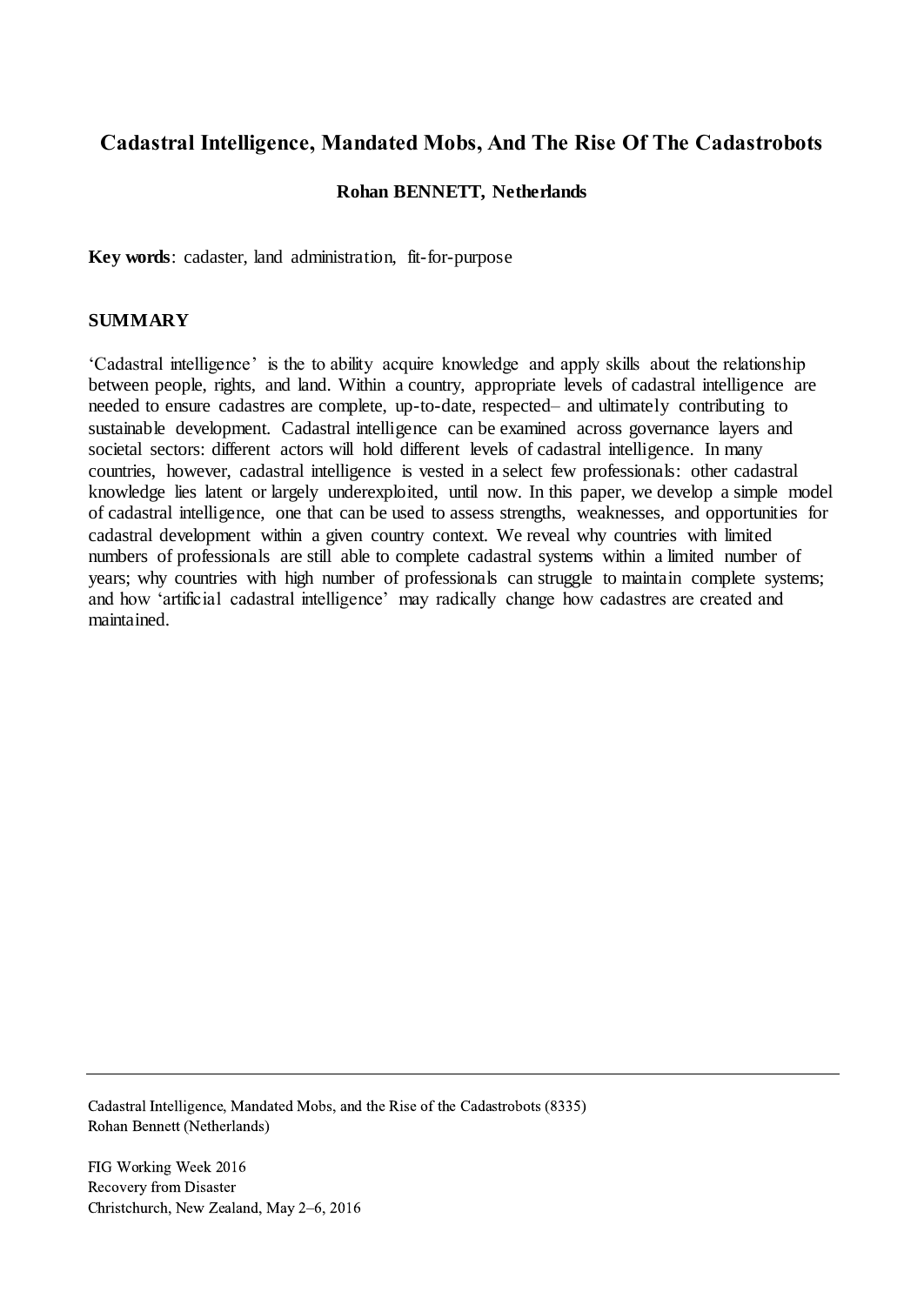# **Cadastral Intelligence, Mandated Mobs, And The Rise Of The Cadastrobots**

#### **Rohan BENNETT, Netherlands**

**Key words**: cadaster, land administration, fit-for-purpose

#### **SUMMARY**

'Cadastral intelligence' is the to ability acquire knowledge and apply skills about the relationship between people, rights, and land. Within a country, appropriate levels of cadastral intelligence are needed to ensure cadastres are complete, up-to-date, respected– and ultimately contributing to sustainable development. Cadastral intelligence can be examined across governance layers and societal sectors: different actors will hold different levels of cadastral intelligence. In many countries, however, cadastral intelligence is vested in a select few professionals: other cadastral knowledge lies latent or largely underexploited, until now. In this paper, we develop a simple model of cadastral intelligence, one that can be used to assess strengths, weaknesses, and opportunities for cadastral development within a given country context. We reveal why countries with limited numbers of professionals are still able to complete cadastral systems within a limited number of years; why countries with high number of professionals can struggle to maintain complete systems; and how 'artificial cadastral intelligence' may radically change how cadastres are created and maintained.

Cadastral Intelligence, Mandated Mobs, and the Rise of the Cadastrobots (8335) Rohan Bennett (Netherlands)

FIG Working Week 2016 Recovery from Disaster Christchurch, New Zealand, May 2–6, 2016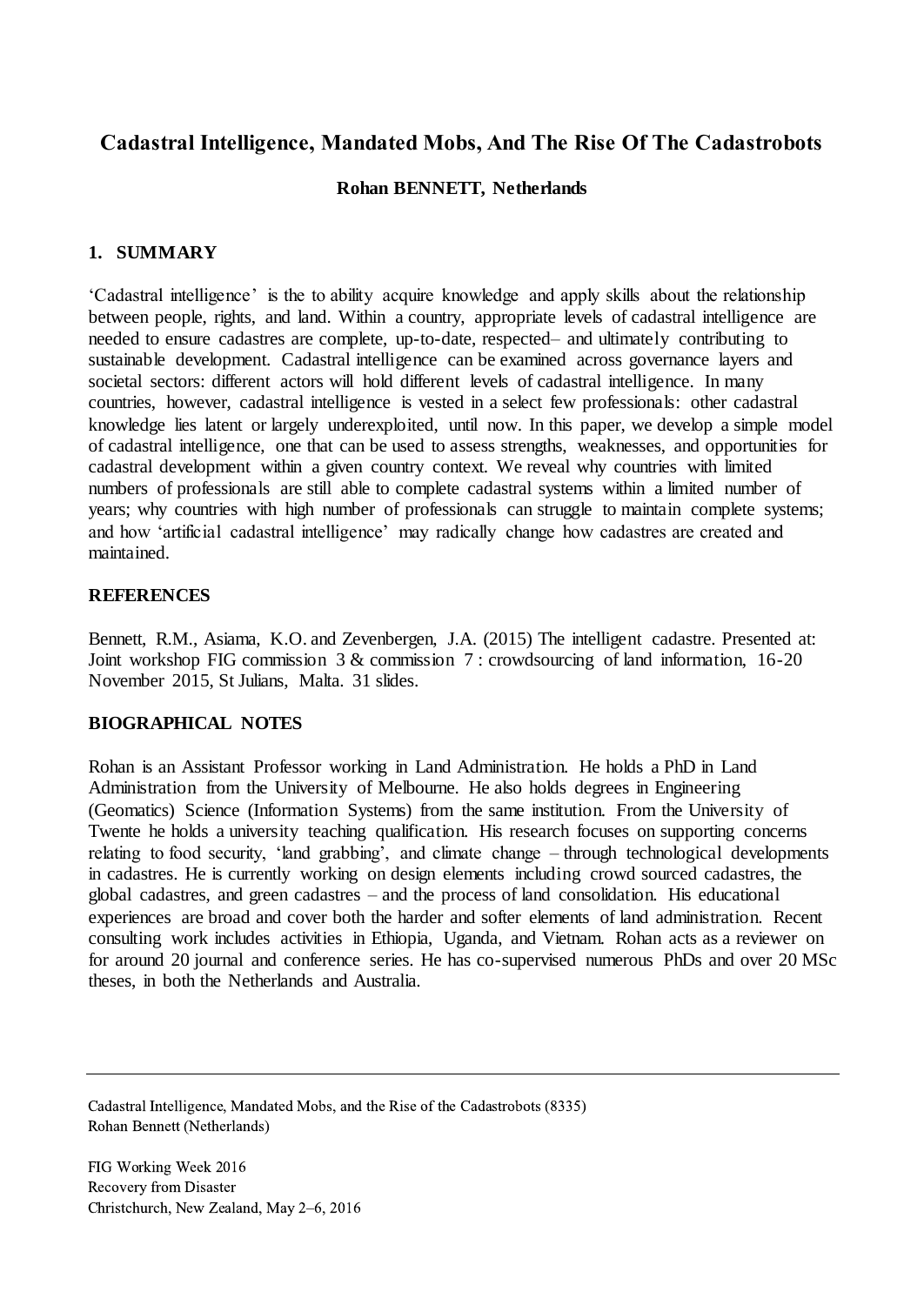# **Cadastral Intelligence, Mandated Mobs, And The Rise Of The Cadastrobots**

### **Rohan BENNETT, Netherlands**

## **1. SUMMARY**

'Cadastral intelligence' is the to ability acquire knowledge and apply skills about the relationship between people, rights, and land. Within a country, appropriate levels of cadastral intelligence are needed to ensure cadastres are complete, up-to-date, respected– and ultimately contributing to sustainable development. Cadastral intelligence can be examined across governance layers and societal sectors: different actors will hold different levels of cadastral intelligence. In many countries, however, cadastral intelligence is vested in a select few professionals: other cadastral knowledge lies latent or largely underexploited, until now. In this paper, we develop a simple model of cadastral intelligence, one that can be used to assess strengths, weaknesses, and opportunities for cadastral development within a given country context. We reveal why countries with limited numbers of professionals are still able to complete cadastral systems within a limited number of years; why countries with high number of professionals can struggle to maintain complete systems; and how 'artificial cadastral intelligence' may radically change how cadastres are created and maintained.

### **REFERENCES**

Bennett, R.M., Asiama, K.O. and Zevenbergen, J.A. (2015) The intelligent cadastre. Presented at: Joint workshop FIG commission 3 & commission 7 : crowdsourcing of land information, 16-20 November 2015, St Julians, Malta. 31 slides.

## **BIOGRAPHICAL NOTES**

Rohan is an Assistant Professor working in Land Administration. He holds a PhD in Land Administration from the University of Melbourne. He also holds degrees in Engineering (Geomatics) Science (Information Systems) from the same institution. From the University of Twente he holds a university teaching qualification. His research focuses on supporting concerns relating to food security, 'land grabbing', and climate change – through technological developments in cadastres. He is currently working on design elements including crowd sourced cadastres, the global cadastres, and green cadastres – and the process of land consolidation. His educational experiences are broad and cover both the harder and softer elements of land administration. Recent consulting work includes activities in Ethiopia, Uganda, and Vietnam. Rohan acts as a reviewer on for around 20 journal and conference series. He has co-supervised numerous PhDs and over 20 MSc theses, in both the Netherlands and Australia.

FIG Working Week 2016 Recovery from Disaster Christchurch, New Zealand, May 2–6, 2016

Cadastral Intelligence, Mandated Mobs, and the Rise of the Cadastrobots (8335) Rohan Bennett (Netherlands)